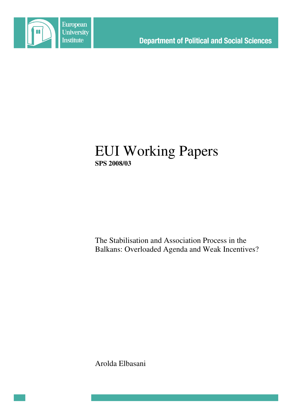

# EUI Working Papers **SPS 2008/03**

The Stabilisation and Association Process in the Balkans: Overloaded Agenda and Weak Incentives?

Arolda Elbasani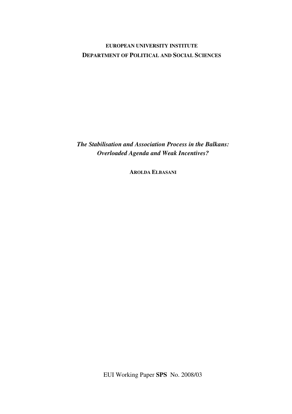## **EUROPEAN UNIVERSITY INSTITUTE DEPARTMENT OF POLITICAL AND SOCIAL SCIENCES**

*The Stabilisation and Association Process in the Balkans: Overloaded Agenda and Weak Incentives?*

**AROLDA ELBASANI**

EUI Working Paper **SPS** No. 2008/03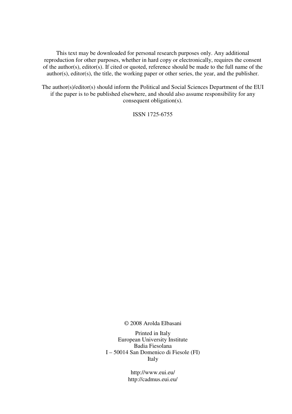This text may be downloaded for personal research purposes only. Any additional reproduction for other purposes, whether in hard copy or electronically, requires the consent of the author(s), editor(s). If cited or quoted, reference should be made to the full name of the author(s), editor(s), the title, the working paper or other series, the year, and the publisher.

The author(s)/editor(s) should inform the Political and Social Sciences Department of the EUI if the paper is to be published elsewhere, and should also assume responsibility for any consequent obligation(s).

ISSN 1725-6755

© 2008 Arolda Elbasani

Printed in Italy European University Institute Badia Fiesolana I – 50014 San Domenico di Fiesole (FI) Italy

> http://www.eui.eu/ http://cadmus.eui.eu/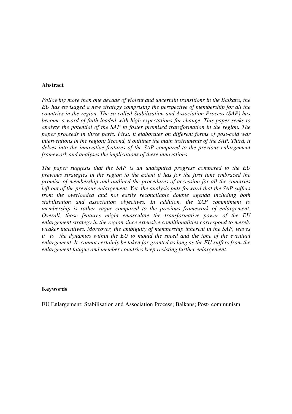#### **Abstract**

*Following more than one decade of violent and uncertain transitions in the Balkans, the EU has envisaged a new strategy comprising the perspective of membership for all the countries in the region. The so-called Stabilisation and Association Process (SAP) has become a word of faith loaded with high expectations for change. This paper seeks to analyze the potential of the SAP to foster promised transformation in the region. The paper proceeds in three parts. First, it elaborates on different forms of post-cold war interventions in the region; Second, it outlines the main instruments of the SAP. Third, it delves into the innovative features of the SAP compared to the previous enlargement framework and analyses the implications of these innovations.*

*The paper suggests that the SAP is an undisputed progress compared to the EU previous strategies in the region to the extent it has for the first time embraced the promise of membership and outlined the procedures of accession for all the countries left out of the previous enlargement. Yet, the analysis puts forward that the SAP suffers from the overloaded and not easily reconcilable double agenda including both stabilisation and association objectives. In addition, the SAP commitment to membership is rather vague compared to the previous framework of enlargement. Overall, those features might emasculate the transformative power of the EU enlargement strategy in the region since extensive conditionalities correspond to merely weaker incentives. Moreover, the ambiguity of membership inherent in the SAP, leaves it to the dynamics within the EU to mould the speed and the tone of the eventual enlargement. It cannot certainly be taken for granted as long as the EU suffers from the enlargement fatique and member countries keep resisting further enlargement.*

#### **Keywords**

EU Enlargement; Stabilisation and Association Process; Balkans; Post- communism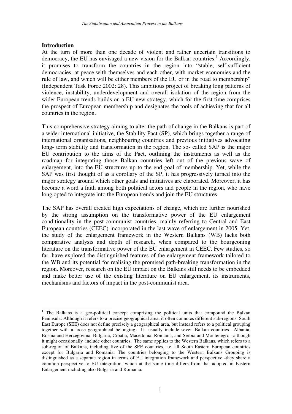#### **Introduction**

At the turn of more than one decade of violent and rather uncertain transitions to democracy, the EU has envisaged a new vision for the Balkan countries.<sup>1</sup> Accordingly, it promises to transform the countries in the region into "stable, self-sufficient democracies, at peace with themselves and each other, with market economies and the rule of law, and which will be either members of the EU or in the road to membership" (Independent Task Force 2002: 28). This ambitious project of breaking long patterns of violence, instability, underdevelopment and overall isolation of the region from the wider European trends builds on a EU new strategy, which for the first time comprises the prospect of European membership and designates the tools of achieving that for all countries in the region.

This comprehensive strategy aiming to alter the path of change in the Balkans is part of a wider international initiative, the Stability Pact (SP), which brings together a range of international organisations, neighbouring countries and previous initiatives advocating long- term stability and transformation in the region. The so- called SAP is the major EU contribution to the aims of the Pact, outlining the instruments as well as the roadmap for integrating those Balkan countries left out of the previous wave of enlargement, into the EU structures up to the end goal of membership. Yet, while the SAP was first thought of as a corollary of the SP, it has progressively turned into the major strategy around which other goals and initiatives are elaborated. Moreover, it has become a word a faith among both political actors and people in the region, who have long opted to integrate into the European trends and join the EU structures.

The SAP has overall created high expectations of change, which are further nourished by the strong assumption on the transformative power of the EU enlargement conditionality in the post-communist countries, mainly referring to Central and East European countries (CEEC) incorporated in the last wave of enlargement in 2005. Yet, the study of the enlargement framework in the Western Balkans (WB) lacks both comparative analysis and depth of research, when compared to the bourgeoning literature on the transformative power of the EU enlargement in CEEC. Few studies, so far, have explored the distinguished features of the enlargement framework tailored to the WB and its potential for realising the promised path-breaking transformation in the region. Moreover, research on the EU impact on the Balkans still needs to be embedded and make better use of the existing literature on EU enlargement, its instruments, mechanisms and factors of impact in the post-communist area.

<sup>&</sup>lt;sup>1</sup> The Balkans is a geo-political concept comprising the political units that compound the Balkan Peninsula. Although it refers to a precise geographical area, it often connotes different sub-regions. South East Europe (SEE) does not define precisely a geographical area, but instead refers to a political grouping together with a loose geographical belonging. It usually include seven Balkan countries –Albania, Bosnia and Herzegovina, Bulgaria, Croatia, Macedonia, Romania, and Serbia and Montenegro –although it might occasionally include other countries. The same applies to the Western Balkans, which refers to a sub-region of Balkans, including five of the SEE countries, i.e. all South Eastern European countries except for Bulgaria and Romania. The countries belonging to the Western Balkans Grouping is distinguished as a separate region in terms of EU integration framework and perspective -they share a common perspective to EU integration, which at the same time differs from that adopted in Eastern Enlargement including also Bulgaria and Romania.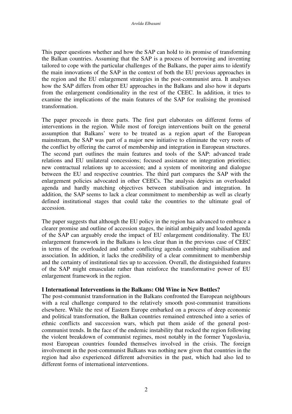This paper questions whether and how the SAP can hold to its promise of transforming the Balkan countries. Assuming that the SAP is a process of borrowing and inventing tailored to cope with the particular challenges of the Balkans, the paper aims to identify the main innovations of the SAP in the context of both the EU previous approaches in the region and the EU enlargement strategies in the post-communist area. It analyses how the SAP differs from other EU approaches in the Balkans and also how it departs from the enlargement conditionality in the rest of the CEEC. In addition, it tries to examine the implications of the main features of the SAP for realising the promised transformation.

The paper proceeds in three parts. The first part elaborates on different forms of interventions in the region. While most of foreign interventions built on the general assumption that Balkans' were to be treated as a region apart of the European mainstream, the SAP was part of a major new initiative to eliminate the very roots of the conflict by offering the carrot of membership and integration in European structures. The second part outlines the main features and tools of the SAP: advanced trade relations and EU unilateral concessions; focused assistance on integration priorities; new contractual relations up to accession; and a system of monitoring and dialogue between the EU and respective countries. The third part compares the SAP with the enlargement policies advocated in other CEECs. The analysis depicts an overloaded agenda and hardly matching objectives between stabilisation and integration. In addition, the SAP seems to lack a clear commitment to membership as well as clearly defined institutional stages that could take the countries to the ultimate goal of accession.

The paper suggests that although the EU policy in the region has advanced to embrace a clearer promise and outline of accession stages, the initial ambiguity and loaded agenda of the SAP can arguably erode the impact of EU enlargement conditionality. The EU enlargement framework in the Balkans is less clear than in the previous case of CEEC in terms of the overloaded and rather conflicting agenda combining stabilisation and association. In addition, it lacks the credibility of a clear commitment to membership and the certainty of institutional ties up to accession. Overall, the distinguished features of the SAP might emasculate rather than reinforce the transformative power of EU enlargement framework in the region.

#### **I International Interventions in the Balkans: Old Wine in New Bottles?**

The post-communist transformation in the Balkans confronted the European neighbours with a real challenge compared to the relatively smooth post-communist transitions elsewhere. While the rest of Eastern Europe embarked on a process of deep economic and political transformation, the Balkan countries remained entrenched into a series of ethnic conflicts and succession wars, which put them aside of the general postcommunist trends. In the face of the endemic instability that rocked the region following the violent breakdown of communist regimes, most notably in the former Yugoslavia, most European countries founded themselves involved in the crisis. The foreign involvement in the post-communist Balkans was nothing new given that countries in the region had also experienced different adversities in the past, which had also led to different forms of international interventions.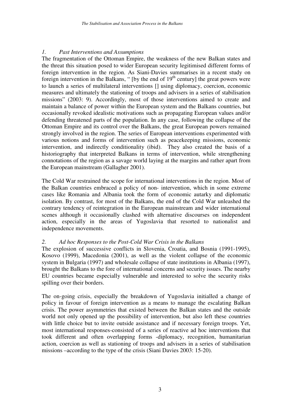### *1. Past Interventions and Assumptions*

The fragmentation of the Ottoman Empire, the weakness of the new Balkan states and the threat this situation posed to wider European security legitimised different forms of foreign intervention in the region. As Siani-Davies summarises in a recent study on foreign intervention in the Balkans, " [by the end of  $19<sup>th</sup>$  century] the great powers were to launch a series of multilateral interventions [] using diplomacy, coercion, economic measures and ultimately the stationing of troops and advisers in a series of stabilisation missions" (2003: 9). Accordingly, most of those interventions aimed to create and maintain a balance of power within the European system and the Balkans countries, but occasionally revoked idealistic motivations such as propagating European values and/or defending threatened parts of the population. In any case, following the collapse of the Ottoman Empire and its control over the Balkans, the great European powers remained strongly involved in the region. The series of European interventions experimented with various notions and forms of intervention such as peacekeeping missions, economic intervention, and indirectly conditionality (ibid). They also created the basis of a historiography that interpreted Balkans in terms of intervention, while strengthening connotations of the region as a savage world laying at the margins and rather apart from the European mainstream (Gallagher 2001).

The Cold War restrained the scope for international interventions in the region. Most of the Balkan countries embraced a policy of non- intervention, which in some extreme cases like Romania and Albania took the form of economic autarky and diplomatic isolation. By contrast, for most of the Balkans, the end of the Cold War unleashed the contrary tendency of reintegration in the European mainstream and wider international scenes although it occasionally clashed with alternative discourses on independent action, especially in the areas of Yugoslavia that resorted to nationalist and independence movements.

#### *2. Ad hoc Responses to the Post-Cold War Crisis in the Balkans*

The explosion of successive conflicts in Slovenia, Croatia, and Bosnia (1991-1995), Kosovo (1999), Macedonia (2001), as well as the violent collapse of the economic system in Bulgaria (1997) and wholesale collapse of state institutions in Albania (1997), brought the Balkans to the fore of international concerns and security issues. The nearby EU countries became especially vulnerable and interested to solve the security risks spilling over their borders.

The on-going crisis, especially the breakdown of Yugoslavia initialled a change of policy in favour of foreign intervention as a means to manage the escalating Balkan crisis. The power asymmetries that existed between the Balkan states and the outside world not only opened up the possibility of intervention, but also left these countries with little choice but to invite outside assistance and if necessary foreign troops. Yet, most international responses consisted of a series of reactive ad hoc interventions that took different and often overlapping forms -diplomacy, recognition, humanitarian action, coercion as well as stationing of troops and advisers in a series of stabilisation missions –according to the type of the crisis (Siani Davies 2003: 15-20).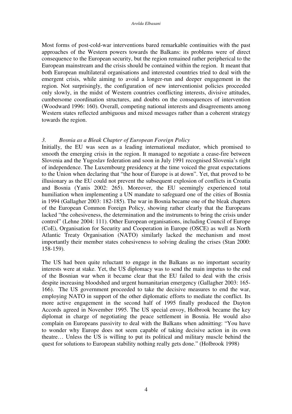Most forms of post-cold-war interventions bared remarkable continuities with the past approaches of the Western powers towards the Balkans: its problems were of direct consequence to the European security, but the region remained rather peripherical to the European mainstream and the crisis should be contained within the region. It meant that both European multilateral organisations and interested countries tried to deal with the emergent crisis, while aiming to avoid a longer-run and deeper engagement in the region. Not surprisingly, the configuration of new interventionist policies proceeded only slowly, in the midst of Western countries conflicting interests, divisive attitudes, cumbersome coordination structures, and doubts on the consequences of intervention (Woodward 1996: 160). Overall, competing national interests and disagreements among Western states reflected ambiguous and mixed messages rather than a coherent strategy towards the region.

#### *3. Bosnia as a Bleak Chapter of European Foreign Policy*

Initially, the EU was seen as a leading international mediator, which promised to smooth the emerging crisis in the region. It managed to negotiate a cease-fire between Slovenia and the Yugoslav federation and soon in July 1991 recognised Slovenia's right of independence. The Luxembourg presidency at the time voiced the great expectations to the Union when declaring that "the hour of Europe is at down". Yet, that proved to be illusionary as the EU could not prevent the subsequent explosion of conflicts in Croatia and Bosnia (Yanis 2002: 265). Moreover, the EU seemingly experienced total humiliation when implementing a UN mandate to safeguard one of the cities of Bosnia in 1994 (Gallagher 2003: 182-185). The war in Bosnia became one of the bleak chapters of the European Common Foreign Policy, showing rather clearly that the Europeans lacked "the cohesiveness, the determination and the instruments to bring the crisis under control" (Lehne 2004: 111). Other European organisations, including Council of Europe (CoE), Organisation for Security and Cooperation in Europe (OSCE) as well as North Atlantic Treaty Organisation (NATO) similarly lacked the mechanism and most importantly their member states cohesiveness to solving dealing the crises (Stan 2000: 158-159).

The US had been quite reluctant to engage in the Balkans as no important security interests were at stake. Yet, the US diplomacy was to send the main impetus to the end of the Bosnian war when it became clear that the EU failed to deal with the crisis despite increasing bloodshed and urgent humanitarian emergency (Gallagher 2003: 165- 166). The US government proceeded to take the decisive measures to end the war, employing NATO in support of the other diplomatic efforts to mediate the conflict. Its more active engagement in the second half of 1995 finally produced the Dayton Accords agreed in November 1995. The US special envoy, Holbrook became the key diplomat in charge of negotiating the peace settlement in Bosnia. He would also complain on Europeans passivity to deal with the Balkans when admitting: "You have to wonder why Europe does not seem capable of taking decisive action in its own theatre… Unless the US is willing to put its political and military muscle behind the quest for solutions to European stability nothing really gets done." (Holbrook 1998)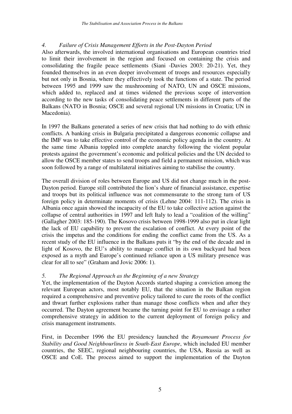### *4. Failure of Crisis Management Efforts in the Post-Dayton Period*

Also afterwards, the involved international organisations and European countries tried to limit their involvement in the region and focused on containing the crisis and consolidating the fragile peace settlements (Siani -Davies 2003: 20-21). Yet, they founded themselves in an even deeper involvement of troops and resources especially but not only in Bosnia, where they effectively took the functions of a state. The period between 1995 and 1999 saw the mushrooming of NATO, UN and OSCE missions, which added to, replaced and at times widened the previous scope of intervention according to the new tasks of consolidating peace settlements in different parts of the Balkans (NATO in Bosnia; OSCE and several regional UN missions in Croatia; UN in Macedonia).

In 1997 the Balkans generated a series of new crisis that had nothing to do with ethnic conflicts. A banking crisis in Bulgaria precipitated a dangerous economic collapse and the IMF was to take effective control of the economic policy agenda in the country. At the same time Albania toppled into complete anarchy following the violent popular protests against the government's economic and political policies and the UN decided to allow the OSCE member states to send troops and field a permanent mission, which was soon followed by a range of multilateral initiatives aiming to stabilise the country.

The overall division of roles between Europe and US did not change much in the post-Dayton period. Europe still contributed the lion's share of financial assistance, expertise and troops but its political influence was not commensurate to the strong turn of US foreign policy in determinate moments of crisis (Lehne 2004: 111-112). The crisis in Albania once again showed the incapacity of the EU to take collective action against the collapse of central authorities in 1997 and left Italy to lead a "coalition of the willing" (Gallagher 2003: 185-190). The Kosovo crisis between 1998-1999 also put in clear light the lack of EU capability to prevent the escalation of conflict. At every point of the crisis the impetus and the conditions for ending the conflict came from the US. As a recent study of the EU influence in the Balkans puts it "by the end of the decade and in light of Kosovo, the EU's ability to manage conflict in its own backyard had been exposed as a myth and Europe's continued reliance upon a US military presence was clear for all to see" (Graham and Jovic 2006: 1).

## *5. The Regional Approach as the Beginning of a new Strategy*

Yet, the implementation of the Dayton Accords started shaping a conviction among the relevant European actors, most notably EU, that the situation in the Balkan region required a comprehensive and preventive policy tailored to cure the roots of the conflict and thwart further explosions rather than manage those conflicts when and after they occurred. The Dayton agreement became the turning point for EU to envisage a rather comprehensive strategy in addition to the current deployment of foreign policy and crisis management instruments.

First, in December 1996 the EU presidency launched the *Royamount Process for Stability and Good Neighbourliness in South-East Europe*, which included EU member countries, the SEEC, regional neighbouring countries, the USA, Russia as well as OSCE and CoE. The process aimed to support the implementation of the Dayton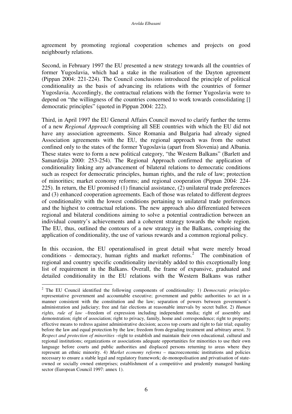agreement by promoting regional cooperation schemes and projects on good neighbourly relations.

Second, in February 1997 the EU presented a new strategy towards all the countries of former Yugoslavia, which had a stake in the realisation of the Dayton agreement (Pippan 2004: 221-224). The Council conclusions introduced the principle of political conditionality as the basis of advancing its relations with the countries of former Yugoslavia. Accordingly, the contractual relations with the former Yugoslavia were to depend on "the willingness of the countries concerned to work towards consolidating [] democratic principles" (quoted in Pippan 2004: 222).

Third, in April 1997 the EU General Affairs Council moved to clarify further the terms of a new *Regional Approach* comprising all SEE countries with which the EU did not have any association agreements. Since Romania and Bulgaria had already signed Association agreements with the EU, the regional approach was from the outset confined only to the states of the former Yugoslavia (apart from Slovenia) and Albania. These states were to form a new political category, "the Western Balkans" (Barlett and Samardzija 2000: 253-254). The Regional Approach confirmed the application of conditionality linking any advancement of bilateral relations to democratic conditions such as respect for democratic principles, human rights, and the rule of law; protection of minorities; market economy reforms; and regional cooperation (Pippan 2004: 224- 225). In return, the EU promised (1) financial assistance, (2) unilateral trade preferences and (3) enhanced cooperation agreements. Each of those was related to different degrees of conditionality with the lowest conditions pertaining to unilateral trade preferences and the highest to contractual relations. The new approach also differentiated between regional and bilateral conditions aiming to solve a potential contradiction between an individual country's achievements and a coherent strategy towards the whole region. The EU, thus, outlined the contours of a new strategy in the Balkans, comprising the application of conditionality, the use of various rewards and a common regional policy.

In this occasion, the EU operationalised in great detail what were merely broad conditions - democracy, human rights and market reforms. 2 The combination of regional and country specific conditionality inevitably added to this exceptionally long list of requirement in the Balkans. Overall, the frame of expansive, graduated and detailed conditionality in the EU relations with the Western Balkans was rather

<sup>2</sup> The EU Council identified the following components of conditionality: 1) *Democratic principles*representative government and accountable executive; government and public authorities to act in a manner consistent with the constitution and the law; separation of powers between government's administration and judiciary; free and fair elections at reasonable intervals by secret ballot. 2) *Human rights, rule of law* –freedom of expression including independent media; right of assembly and demonstration; right of association; right to privacy, family, home and correspondence; right to property; effective means to redress against administrative decision; access top courts and right to fair trial; equality before the law and equal protection by the law; freedom from degrading treatment and arbitrary arrest. 3) *Respect and protection of minorities* –right to establish and maintain their own educational, cultural and regional institutions; organizations or associations adequate opportunities for minorities to use their own language before courts and public authorities and displaced persons returning to areas where they represent an ethnic minority. 4) *Market economy reforms* – macroeconomic institutions and policies necessary to ensure a stable legal and regulatory framework; de-monopolisation and privatisation of stateowned or socially owned enterprises; establishment of a competitive and prudently managed banking sector (European Council 1997: annex 1).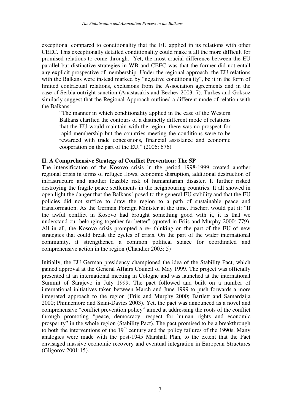exceptional compared to conditionality that the EU applied in its relations with other CEEC. This exceptionally detailed conditionality could make it all the more difficult for promised relations to come through. Yet, the most crucial difference between the EU parallel but distinctive strategies in WB and CEEC was that the former did not entail any explicit prospective of membership. Under the regional approach, the EU relations with the Balkans were instead marked by "negative conditionality", be it in the form of limited contractual relations, exclusions from the Association agreements and in the case of Serbia outright sanction (Anastasakis and Bechev 2003: 7). Turkes and Goksoz similarly suggest that the Regional Approach outlined a different mode of relation with the Balkans:

"The manner in which conditionality applied in the case of the Western Balkans clarified the contours of a distinctly different mode of relations that the EU would maintain with the region: there was no prospect for rapid membership but the countries meeting the conditions were to be rewarded with trade concessions, financial assistance and economic cooperation on the part of the EU." (2006: 676)

#### **II. A Comprehensive Strategy of Conflict Prevention: The SP**

The intensification of the Kosovo crisis in the period 1998-1999 created another regional crisis in terms of refugee flows, economic disruption, additional destruction of infrastructure and another feasible risk of humanitarian disaster. It further risked destroying the fragile peace settlements in the neighbouring countries. It all showed in open light the danger that the Balkans' posed to the general EU stability and that the EU policies did not suffice to draw the region to a path of sustainable peace and transformation. As the German Foreign Minister at the time, Fischer, would put it: "If the awful conflict in Kosovo had brought something good with it, it is that we understand our belonging together far better" (quoted in Friis and Murphy 2000: 779). All in all, the Kosovo crisis prompted a re- thinking on the part of the EU of new strategies that could break the cycles of crisis. On the part of the wider international community, it strengthened a common political stance for coordinated and comprehensive action in the region (Chandler 2003: 5)

Initially, the EU German presidency championed the idea of the Stability Pact, which gained approval at the General Affairs Council of May 1999. The project was officially presented at an international meeting in Cologne and was launched at the international Summit of Sarajevo in July 1999. The pact followed and built on a number of international initiatives taken between March and June 1999 to push forwards a more integrated approach to the region (Friis and Murphy 2000; Bartlett and Samardzija 2000; Phinnemore and Siani-Davies 2003). Yet, the pact was announced as a novel and comprehensive "conflict prevention policy" aimed at addressing the roots of the conflict through promoting "peace, democracy, respect for human rights and economic prosperity" in the whole region (Stability Pact). The pact promised to be a breakthrough to both the interventions of the 19<sup>th</sup> century and the policy failures of the 1990s. Many analogies were made with the post-1945 Marshall Plan, to the extent that the Pact envisaged massive economic recovery and eventual integration in European Structures (Gligorov 2001:15).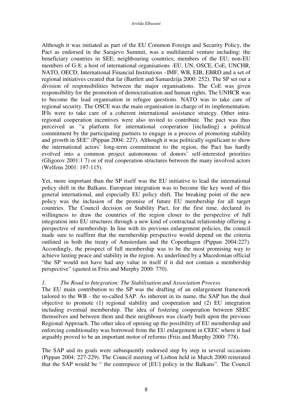Although it was initiated as part of the EU Common Foreign and Security Policy, the Pact as endorsed in the Sarajevo Summit, was a multilateral venture including: the beneficiary countries in SEE; neighbouring countries; members of the EU; non-EU members of G-8; a host of international organisations -EU, UN, OSCE, CoE, UNCHR, NATO, OECD; International Financial Institutions –IMF, WB, EIB, EBRD and a set of regional initiatives created that far (Bartlett and Samardzija 2000: 252). The SP set out a division of responsibilities between the major organisations. The CoE was given responsibility for the promotion of democratisation and human rights. The UNHCR was to become the lead organisation in refugee questions. NATO was to take care of regional security. The OSCE was the main organisation in charge of its implementation. IFIs were to take care of a coherent international assistance strategy. Other intraregional cooperation incentives were also invited to contribute. The pact was thus perceived as "a platform for international cooperation [including] a political commitment by the participating partners to engage in a process of promoting stability and growth in SEE" (Pippan 2004: 227). Although it was politically significant to show the international actors' long-term commitment to the region, the Pact has hardly evolved into a common project autonomous of donors' self-interested priorities (Gligorov 2001:1 7) or of real cooperation structures between the many involved actors (Welfens 2001: 197-115).

Yet, more important than the SP itself was the EU initiative to lead the international policy shift in the Balkans. European integration was to become the key word of this general international, and especially EU policy shift. The breaking point of the new policy was the inclusion of the promise of future EU membership for all target countries. The Council decision on Stability Pact, for the first time, declared its willingness to draw the countries of the region closer to the perspective of full integration into EU structures through a new kind of contractual relationship offering a perspective of membership. In line with its previous enlargement policies, the council made sure to reaffirm that the membership perspective would depend on the criteria outlined in both the treaty of Amsterdam and the Copenhagen (Pippan 2004:227). Accordingly, the prospect of full membership was to be the most promising way to achieve lasting peace and stability in the region. As underlined by a Macedonian official "the SP would not have had any value in itself if it did not contain a membership perspective" (quoted in Friis and Murphy 2000: 770).

## *1. The Road to Integration: The Stabilisation and Association Process*

The EU main contribution to the SP was the drafting of an enlargement framework tailored to the WB - the so-called SAP. As inherent in its name, the SAP has the dual objective to promote (1) regional stability and cooperation and (2) EU integration including eventual membership. The idea of fostering cooperation between SEEC themselves and between them and their neighbours was clearly built upon the previous Regional Approach. The other idea of opening up the possibility of EU membership and enforcing conditionality was borrowed from the EU enlargement in CEEC where it had arguably proved to be an important motor of reforms (Friis and Murphy 2000: 778).

The SAP and its goals were subsequently endorsed step by step in several occasions (Pippan 2004: 227-229). The Council meeting of Lisbon held in March 2000 reiterated that the SAP would be " the centrepiece of [EU] policy in the Balkans". The Council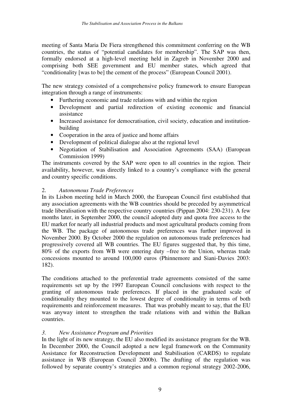meeting of Santa Maria De Fiera strengthened this commitment conferring on the WB countries, the status of "potential candidates for membership". The SAP was then, formally endorsed at a high-level meeting held in Zagreb in November 2000 and comprising both SEE government and EU member states, which agreed that "conditionality [was to be] the cement of the process" (European Council 2001).

The new strategy consisted of a comprehensive policy framework to ensure European integration through a range of instruments:

- Furthering economic and trade relations with and within the region
- Development and partial redirection of existing economic and financial assistance
- Increased assistance for democratisation, civil society, education and institutionbuilding
- Cooperation in the area of justice and home affairs
- Development of political dialogue also at the regional level
- Negotiation of Stabilisation and Association Agreements (SAA) (European Commission 1999)

The instruments covered by the SAP were open to all countries in the region. Their availability, however, was directly linked to a country's compliance with the general and country specific conditions.

## 2. *Autonomous Trade Preferences*

In its Lisbon meeting held in March 2000, the European Council first established that any association agreements with the WB countries should be preceded by asymmetrical trade liberalisation with the respective country countries (Pippan 2004: 230-231). A few months later, in September 2000, the council adopted duty and quota free access to the EU market for nearly all industrial products and most agricultural products coming from the WB. The package of autonomous trade preferences was further improved in November 2000. By October 2000 the regulation on autonomous trade preferences had progressively covered all WB countries. The EU figures suggested that, by this time, 80% of the exports from WB were entering duty –free to the Union, whereas trade concessions mounted to around 100,000 euros (Phinnemore and Siani-Davies 2003: 182).

The conditions attached to the preferential trade agreements consisted of the same requirements set up by the 1997 European Council conclusions with respect to the granting of autonomous trade preferences. If placed in the graduated scale of conditionality they mounted to the lowest degree of conditionality in terms of both requirements and reinforcement measures. That was probably meant to say, that the EU was anyway intent to strengthen the trade relations with and within the Balkan countries.

## *3. New Assistance Program and Priorities*

In the light of its new strategy, the EU also modified its assistance program for the WB. In December 2000, the Council adopted a new legal framework on the Community Assistance for Reconstruction Development and Stabilisation (CARDS) to regulate assistance in WB (European Council 2000b). The drafting of the regulation was followed by separate country's strategies and a common regional strategy 2002-2006,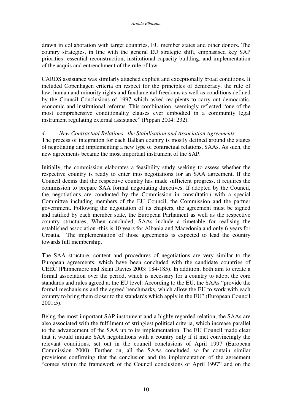drawn in collaboration with target countries, EU member states and other donors. The country strategies, in line with the general EU strategic shift, emphasised key SAP priorities -essential reconstruction, institutional capacity building, and implementation of the acquis and entrenchment of the rule of law.

CARDS assistance was similarly attached explicit and exceptionally broad conditions. It included Copenhagen criteria on respect for the principles of democracy, the rule of law, human and minority rights and fundamental freedoms as well as conditions defined by the Council Conclusions of 1997 which asked recipients to carry out democratic, economic and institutional reforms. This combination, seemingly reflected "one of the most comprehensive conditionality clauses ever embodied in a community legal instrument regulating external assistance" (Pippan 2004: 232).

## *4. New Contractual Relations –the Stabilisation and Association Agreements*

The process of integration for each Balkan country is mostly defined around the stages of negotiating and implementing a new type of contractual relations, SAAs. As such, the new agreements became the most important instrument of the SAP.

Initially, the commission elaborates a feasibility study seeking to assess whether the respective country is ready to enter into negotiations for an SAA agreement. If the Council deems that the respective country has made sufficient progress, it requires the commission to prepare SAA formal negotiating directives. If adopted by the Council, the negotiations are conducted by the Commission in consultation with a special Committee including members of the EU Council, the Commission and the partner government. Following the negotiation of its chapters, the agreement must be signed and ratified by each member state, the European Parliament as well as the respective country structures; When concluded, SAAs include a timetable for realising the established association -this is 10 years for Albania and Macedonia and only 6 years for Croatia. The implementation of those agreements is expected to lead the country towards full membership.

The SAA structure, content and procedures of negotiations are very similar to the European agreements, which have been concluded with the candidate countries of CEEC (Phinnemore and Siani Davies 2003: 184-185). In addition, both aim to create a formal association over the period, which is necessary for a country to adopt the core standards and rules agreed at the EU level. According to the EU, the SAAs "provide the formal mechanisms and the agreed benchmarks, which allow the EU to work with each country to bring them closer to the standards which apply in the EU" (European Council 2001:5).

Being the most important SAP instrument and a highly regarded relation, the SAAs are also associated with the fulfilment of stringiest political criteria, which increase parallel to the advancement of the SAA up to its implementation. The EU Council made clear that it would initiate SAA negotiations with a country only if it met convincingly the relevant conditions, set out in the council conclusions of April 1997 (European Commission 2000). Further on, all the SAAs concluded so far contain similar provisions confirming that the conclusion and the implementation of the agreement "comes within the framework of the Council conclusions of April 1997" and on the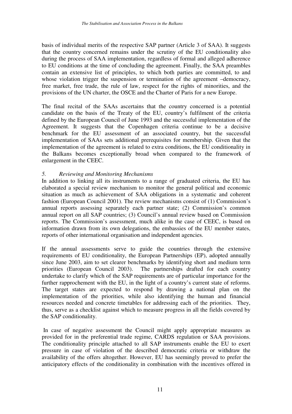basis of individual merits of the respective SAP partner (Article 3 of SAA). It suggests that the country concerned remains under the scrutiny of the EU conditionality also during the process of SAA implementation, regardless of formal and alleged adherence to EU conditions at the time of concluding the agreement. Finally, the SAA preambles contain an extensive list of principles, to which both parties are committed, to and whose violation trigger the suspension or termination of the agreement –democracy, free market, free trade, the rule of law, respect for the rights of minorities, and the provisions of the UN charter, the OSCE and the Charter of Paris for a new Europe.

The final recital of the SAAs ascertains that the country concerned is a potential candidate on the basis of the Treaty of the EU, country's fulfilment of the criteria defined by the European Council of June 1993 and the successful implementation of the Agreement. It suggests that the Copenhagen criteria continue to be a decisive benchmark for the EU assessment of an associated country, but the successful implementation of SAAs sets additional prerequisites for membership. Given that the implementation of the agreement is related to extra conditions, the EU conditionality in the Balkans becomes exceptionally broad when compared to the framework of enlargement in the CEEC.

## *5. Reviewing and Monitoring Mechanisms*

In addition to linking all its instruments to a range of graduated criteria, the EU has elaborated a special review mechanism to monitor the general political and economic situation as much as achievement of SAA obligations in a systematic and coherent fashion (European Council 2001). The review mechanisms consist of (1) Commission's annual reports assessing separately each partner state; (2) Commission's common annual report on all SAP countries; (3) Council's annual review based on Commission reports. The Commission's assessment, much alike in the case of CEEC, is based on information drawn from its own delegations, the embassies of the EU member states, reports of other international organisation and independent agencies.

If the annual assessments serve to guide the countries through the extensive requirements of EU conditionality, the European Partnerships (EP), adopted annually since June 2003, aim to set clearer benchmarks by identifying short and medium term priorities (European Council 2003). The partnerships drafted for each country undertake to clarify which of the SAP requirements are of particular importance for the further rapprochement with the EU, in the light of a country's current state of reforms. The target states are expected to respond by drawing a national plan on the implementation of the priorities, while also identifying the human and financial resources needed and concrete timetables for addressing each of the priorities. They, thus, serve as a checklist against which to measure progress in all the fields covered by the SAP conditionality.

In case of negative assessment the Council might apply appropriate measures as provided for in the preferential trade regime, CARDS regulation or SAA provisions. The conditionality principle attached to all SAP instruments enable the EU to exert pressure in case of violation of the described democratic criteria or withdraw the availability of the offers altogether. However, EU has seemingly proved to prefer the anticipatory effects of the conditionality in combination with the incentives offered in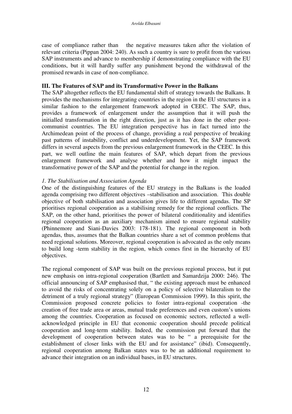case of compliance rather than the negative measures taken after the violation of relevant criteria (Pippan 2004: 240). As such a country is sure to profit from the various SAP instruments and advance to membership if demonstrating compliance with the EU conditions, but it will hardly suffer any punishment beyond the withdrawal of the promised rewards in case of non-compliance.

#### **III. The Features of SAP and its Transformative Power in the Balkans**

The SAP altogether reflects the EU fundamental shift of strategy towards the Balkans. It provides the mechanisms for integrating countries in the region in the EU structures in a similar fashion to the enlargement framework adopted in CEEC. The SAP, thus, provides a framework of enlargement under the assumption that it will push the initialled transformation in the right direction, just as it has done in the other postcommunist countries. The EU integration perspective has in fact turned into the Archimedean point of the process of change, providing a real perspective of breaking past patterns of instability, conflict and underdevelopment. Yet, the SAP framework differs in several aspects from the previous enlargement framework in the CEEC. In this part, we well outline the main features of SAP, which depart from the previous enlargement framework and analyse whether and how it might impact the transformative power of the SAP and the potential for change in the region.

#### *1. The Stabilisation and Association Agenda*

One of the distinguishing features of the EU strategy in the Balkans is the loaded agenda comprising two different objectives –stabilisation and association. This double objective of both stabilisation and association gives life to different agendas. The SP prioritises regional cooperation as a stabilising remedy for the regional conflicts. The SAP, on the other hand, prioritises the power of bilateral conditionality and identifies regional cooperation as an auxiliary mechanism aimed to ensure regional stability (Phinnemore and Siani-Davies 2003: 178-181). The regional component in both agendas, thus, assumes that the Balkan countries share a set of common problems that need regional solutions. Moreover, regional cooperation is advocated as the only means to build long -term stability in the region, which comes first in the hierarchy of EU objectives.

The regional component of SAP was built on the previous regional process, but it put new emphasis on intra-regional cooperation (Bartlett and Samardzija 2000: 246). The official announcing of SAP emphasised that, " the existing approach must be enhanced to avoid the risks of concentrating solely on a policy of selective bilateralism to the detriment of a truly regional strategy" (European Commission 1999). In this spirit, the Commission proposed concrete policies to foster intra-regional cooperation -the creation of free trade area or areas, mutual trade preferences and even custom's unions among the countries. Cooperation as focused on economic sectors, reflected a wellacknowledged principle in EU that economic cooperation should precede political cooperation and long-term stability. Indeed, the commission put forward that the development of cooperation between states was to be " a prerequisite for the establishment of closer links with the EU and for assistance" (ibid). Consequently, regional cooperation among Balkan states was to be an additional requirement to advance their integration on an individual bases, in EU structures.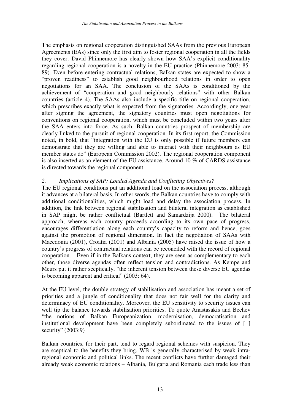The emphasis on regional cooperation distinguished SAAs from the previous European Agreements (EAs) since only the first aim to foster regional cooperation in all the fields they cover. David Phinnemore has clearly shown how SAA's explicit conditionality regarding regional cooperation is a novelty in the EU practice (Phinnemore 2003: 85- 89). Even before entering contractual relations, Balkan states are expected to show a "proven readiness" to establish good neighbourhood relations in order to open negotiations for an SAA. The conclusion of the SAAs is conditioned by the achievement of "cooperation and good neighbourly relations" with other Balkan countries (article 4). The SAAs also include a specific title on regional cooperation, which prescribes exactly what is expected from the signatories. Accordingly, one year after signing the agreement, the signatory countries must open negotiations for conventions on regional cooperation, which must be concluded within two years after the SAA enters into force. As such, Balkan countries prospect of membership are clearly linked to the pursuit of regional cooperation. In its first report, the Commission noted, in bold, that "integration with the EU is only possible if future members can demonstrate that they are willing and able to interact with their neighbours as EU member states do" (European Commission 2002). The regional cooperation component is also inserted as an element of the EU assistance. Around 10 % of CARDS assistance is directed towards the regional component.

#### *2. Implications of SAP: Loaded Agenda and Conflicting Objectives?*

The EU regional conditions put an additional load on the association process, although it advances at a bilateral basis. In other words, the Balkan countries have to comply with additional conditionalities, which might load and delay the association process. In addition, the link between regional stabilisation and bilateral integration as established in SAP might be rather conflictual (Bartlett and Samardzija 2000). The bilateral approach, whereas each country proceeds according to its own pace of progress, encourages differentiation along each country's capacity to reform and hence, goes against the promotion of regional dimension. In fact the negotiation of SAAs with Macedonia (2001), Croatia (2001) and Albania (2005) have raised the issue of how a country's progress of contractual relations can be reconciled with the record of regional cooperation. Even if in the Balkans context, they are seen as complementary to each other, those diverse agendas often reflect tension and contradictions. As Kempe and Meurs put it rather sceptically, "the inherent tension between these diverse EU agendas is becoming apparent and critical" (2003: 64).

At the EU level, the double strategy of stabilisation and association has meant a set of priorities and a jungle of conditionality that does not fair well for the clarity and determinacy of EU conditionality. Moreover, the EU sensitivity to security issues can well tip the balance towards stabilisation priorities. To quote Anastasakis and Bechev "the notions of Balkan Europeanization, modernisation, democratisation and institutional development have been completely subordinated to the issues of [ ] security" (2003:9)

Balkan countries, for their part, tend to regard regional schemes with suspicion. They are sceptical to the benefits they bring. WB is generally characterised by weak intraregional economic and political links. The recent conflicts have further damaged their already weak economic relations – Albania, Bulgaria and Romania each trade less than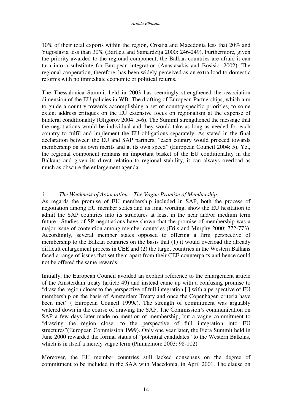10% of their total exports within the region, Croatia and Macedonia less that 20% and Yugoslavia less than 30% (Bartlett and Samardzija 2000: 246-249). Furthermore, given the priority awarded to the regional component, the Balkan countries are afraid it can turn into a substitute for European integration (Anastasakis and Bosisic: 2002). The regional cooperation, therefore, has been widely perceived as an extra load to domestic reforms with no immediate economic or political returns.

The Thessalonica Summit held in 2003 has seemingly strengthened the association dimension of the EU policies in WB. The drafting of European Partnerships, which aim to guide a country towards accomplishing a set of country-specific priorities, to some extent address critiques on the EU extensive focus on regionalism at the expense of bilateral conditionality (Gligorov 2004: 5-6). The Summit strengthened the message that the negotiations would be individual and they would take as long as needed for each country to fulfil and implement the EU obligations separately. As stated in the final declaration between the EU and SAP partners, "each country would proceed towards membership on its own merits and at its own speed" (European Council 2004: 5). Yet, the regional component remains an important basket of the EU conditionality in the Balkans and given its direct relation to regional stability, it can always overload as much as obscure the enlargement agenda.

#### *3. The Weakness of Association – The Vague Promise of Membership*

As regards the promise of EU membership included in SAP, both the process of negotiation among EU member states and its final wording, show the EU hesitation to admit the SAP countries into its structures at least in the near and/or medium term future. Studies of SP negotiations have shown that the promise of membership was a major issue of contention among member countries (Friis and Murphy 2000: 772-773). Accordingly, several member states opposed to offering a firm perspective of membership to the Balkan countries on the basis that (1) it would overload the already difficult enlargement process in CEE and (2) the target countries in the Western Balkans faced a range of issues that set them apart from their CEE counterparts and hence could not be offered the same rewards.

Initially, the European Council avoided an explicit reference to the enlargement article of the Amsterdam treaty (article 49) and instead came up with a confusing promise to "draw the region closer to the perspective of full integration [ ] with a perspective of EU membership on the basis of Amsterdam Treaty and once the Copenhagen criteria have been met" ( European Council 1999c). The strength of commitment was arguably watered down in the course of drawing the SAP. The Commission's communication on SAP a few days later made no mention of membership, but a vague commitment to "drawing the region closer to the perspective of full integration into EU structures"(European Commission 1999). Only one year later, the Fiera Summit held in June 2000 rewarded the formal status of "potential candidates" to the Western Balkans, which is in itself a merely vague term (Phinnemore 2003: 98-102)

Moreover, the EU member countries still lacked consensus on the degree of commitment to be included in the SAA with Macedonia, in April 2001. The clause on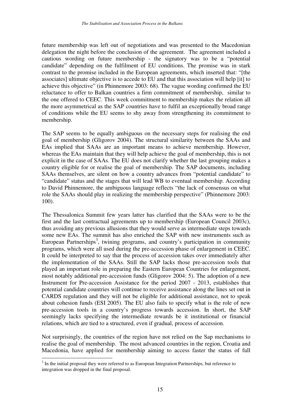future membership was left out of negotiations and was presented to the Macedonian delegation the night before the conclusion of the agreement. The agreement included a cautious wording on future membership - the signatory was to be a "potential candidate" depending on the fulfilment of EU conditions. The promise was in stark contrast to the promise included in the European agreements, which inserted that: "[the associates] ultimate objective is to accede to EU and that this association will help [it] to achieve this objective" (in Phinnemore 2003: 68). The vague wording confirmed the EU reluctance to offer to Balkan countries a firm commitment of membership, similar to the one offered to CEEC. This week commitment to membership makes the relation all the more asymmetrical as the SAP countries have to fulfil an exceptionally broad range of conditions while the EU seems to shy away from strengthening its commitment to membership.

The SAP seems to be equally ambiguous on the necessary steps for realising the end goal of membership (Gligorov 2004). The structural similarity between the SAAs and EAs implied that SAAs are an important means to achieve membership. However, whereas the EAs maintain that they will help achieve the goal of membership, this is not explicit in the case of SAAs. The EU does not clarify whether the last grouping makes a country eligible for or realise the goal of membership. The SAP documents, including SAAs themselves, are silent on how a country advances from "potential candidate" to "candidate" status and the stages that will lead WB to eventual membership. According to David Phinnemore, the ambiguous language reflects "the lack of consensus on what role the SAAs should play in realizing the membership perspective" (Phinnemore 2003: 100).

The Thessalonica Summit few years latter has clarified that the SAAs were to be the first and the last contractual agreements up to membership (European Council 2003c), thus avoiding any previous allusions that they would serve as intermediate steps towards some new EAs. The summit has also enriched the SAP with new instruments such as European Partnerships<sup>3</sup>, twining programs, and country's participation in community programs, which were all used during the pre-accession phase of enlargement in CEEC. It could be interpreted to say that the process of accession takes over immediately after the implementation of the SAAs. Still the SAP lacks those pre-accession tools that played an important role in preparing the Eastern European Countries for enlargement, most notably additional pre-accession funds (Gligorov 2004: 5). The adoption of a new Instrument for Pre-accession Assistance for the period 2007 - 2013, establishes that potential candidate countries will continue to receive assistance along the lines set out in CARDS regulation and they will not be eligible for additional assistance, not to speak about cohesion funds (ESI 2005). The EU also fails to specify what is the role of new pre-accession tools in a country's progress towards accession. In short, the SAP seemingly lacks specifying the intermediate rewards be it institutional or financial relations, which are tied to a structured, even if gradual, process of accession.

Not surprisingly, the countries of the region have not relied on the Sap mechanisms to realise the goal of membership. The most advanced countries in the region, Croatia and Macedonia, have applied for membership aiming to access faster the status of full

 $3$  In the initial proposal they were referred to as European Integration Partnerships, but reference to integration was dropped in the final proposal.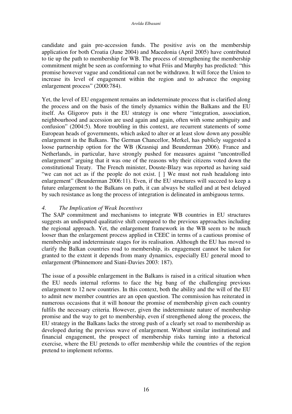candidate and gain pre-accession funds. The positive avis on the membership application for both Croatia (June 2004) and Macedonia (April 2005) have contributed to tie up the path to membership for WB. The process of strengthening the membership commitment might be seen as conforming to what Friis and Murphy has predicted: "this promise however vague and conditional can not be withdrawn. It will force the Union to increase its level of engagement within the region and to advance the ongoing enlargement process" (2000:784).

Yet, the level of EU engagement remains an indeterminate process that is clarified along the process and on the basis of the timely dynamics within the Balkans and the EU itself. As Gligorov puts it the EU strategy is one where "integration, association, neighbourhood and accession are used again and again, often with some ambiguity and confusion" (2004:5). More troubling in this context, are recurrent statements of some European heads of governments, which asked to alter or at least slow down any possible enlargement in the Balkans. The German Chancellor, Merkel, has publicly suggested a loose partnership option for the WB (Krasniqi and Beunderman 2006). France and Netherlands, in particular, have strongly pushed for measures against "uncontrolled enlargement" arguing that it was one of the reasons why their citizens voted down the constitutional Treaty. The French minister, Douste-Blazy was reported as having said "we can not act as if the people do not exist. [ ] We must not rush headalong into enlargement" (Beunderman 2006:11). Even, if the EU structures will succeed to keep a future enlargement to the Balkans on path, it can always be stalled and at best delayed by such resistance as long the process of integration is delineated in ambiguous terms.

## *4. The Implication of Weak Incentives*

The SAP commitment and mechanisms to integrate WB countries in EU structures suggests an undisputed qualitative shift compared to the previous approaches including the regional approach. Yet, the enlargement framework in the WB seem to be much looser than the enlargement process applied in CEEC in terms of a cautious promise of membership and indeterminate stages for its realisation. Although the EU has moved to clarify the Balkan countries road to membership, its engagement cannot be taken for granted to the extent it depends from many dynamics, especially EU general mood to enlargement (Phinnemore and Siani-Davies 2003: 187).

The issue of a possible enlargement in the Balkans is raised in a critical situation when the EU needs internal reforms to face the big bang of the challenging previous enlargement to 12 new countries. In this context, both the ability and the will of the EU to admit new member countries are an open question. The commission has reiterated in numerous occasions that it will honour the promise of membership given each country fulfils the necessary criteria. However, given the indeterminate nature of membership promise and the way to get to membership, even if strengthened along the process, the EU strategy in the Balkans lacks the strong push of a clearly set road to membership as developed during the previous wave of enlargement. Without similar institutional and financial engagement, the prospect of membership risks turning into a rhetorical exercise, where the EU pretends to offer membership while the countries of the region pretend to implement reforms.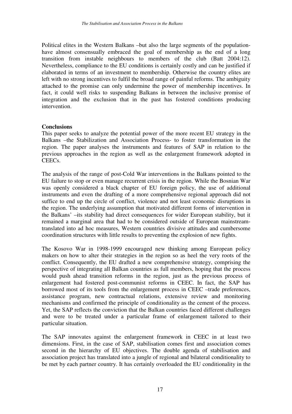Political elites in the Western Balkans –but also the large segments of the populationhave almost consensually embraced the goal of membership as the end of a long transition from instable neighbours to members of the club (Batt 2004:12). Nevertheless, compliance to the EU conditions is certainly costly and can be justified if elaborated in terms of an investment to membership. Otherwise the country elites are left with no strong incentives to fulfil the broad range of painful reforms. The ambiguity attached to the promise can only undermine the power of membership incentives. In fact, it could well risks to suspending Balkans in between the inclusive promise of integration and the exclusion that in the past has fostered conditions producing intervention.

#### **Conclusions**

This paper seeks to analyze the potential power of the more recent EU strategy in the Balkans –the Stabilization and Association Process- to foster transformation in the region. The paper analyses the instruments and features of SAP in relation to the previous approaches in the region as well as the enlargement framework adopted in CEECs.

The analysis of the range of post-Cold War interventions in the Balkans pointed to the EU failure to stop or even manage recurrent crisis in the region. While the Bosnian War was openly considered a black chapter of EU foreign policy, the use of additional instruments and even the drafting of a more comprehensive regional approach did not suffice to end up the circle of conflict, violence and not least economic disruptions in the region. The underlying assumption that motivated different forms of intervention in the Balkans' –its stability had direct consequences for wider European stability, but it remained a marginal area that had to be considered outside of European mainstreamtranslated into ad hoc measures, Western countries divisive attitudes and cumbersome coordination structures with little results to preventing the explosion of new fights.

The Kosovo War in 1998-1999 encouraged new thinking among European policy makers on how to alter their strategies in the region so as heel the very roots of the conflict. Consequently, the EU drafted a new comprehensive strategy, comprising the perspective of integrating all Balkan countries as full members, hoping that the process would push ahead transition reforms in the region, just as the previous process of enlargement had fostered post-communist reforms in CEEC. In fact, the SAP has borrowed most of its tools from the enlargement process in CEEC –trade preferences, assistance program, new contractual relations, extensive review and monitoring mechanisms and confirmed the principle of conditionality as the cement of the process. Yet, the SAP reflects the conviction that the Balkan countries faced different challenges and were to be treated under a particular frame of enlargement tailored to their particular situation.

The SAP innovates against the enlargement framework in CEEC in at least two dimensions. First, in the case of SAP, stabilisation comes first and association comes second in the hierarchy of EU objectives. The double agenda of stabilisation and association project has translated into a jungle of regional and bilateral conditionality to be met by each partner country. It has certainly overloaded the EU conditionality in the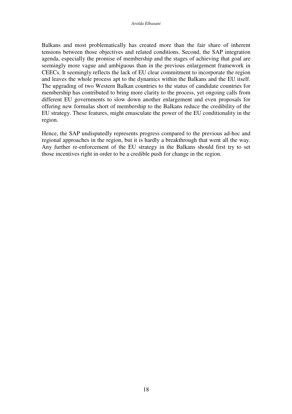Balkans and most problematically has created more than the fair share of inherent tensions between those objectives and related conditions. Second, the SAP integration agenda, especially the promise of membership and the stages of achieving that goal are seemingly more vague and ambiguous than in the previous enlargement framework in CEECs. It seemingly reflects the lack of EU clear commitment to incorporate the region and leaves the whole process apt to the dynamics within the Balkans and the EU itself. The upgrading of two Western Balkan countries to the status of candidate countries for membership has contributed to bring more clarity to the process, yet ongoing calls from different EU governments to slow down another enlargement and even proposals for offering new formulas short of membership to the Balkans reduce the credibility of the EU strategy. These features, might emasculate the power of the EU conditionality in the region.

Hence, the SAP undisputedly represents progress compared to the previous ad-hoc and regional approaches in the region, but it is hardly a breakthrough that went all the way. Any further re-enforcement of the EU strategy in the Balkans should first try to set those incentives right in order to be a credible push for change in the region.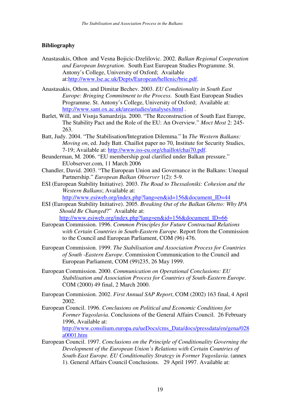## **Bibliography**

Anastasakis, Othon and Vesna Bojicic-Dzelilovic. 2002. *Balkan Regional Cooperation and European Integration*. South East European Studies Programme. St. Antony's College, University of Oxford; Available at:http://www.lse.ac.uk/Depts/European/hellenic/brie.pdf.

Anastasakis, Othon, and Dimitar Bechev. 2003. *EU Conditionality in South East Europe: Bringing Commitment to the Process*. South East European Studies Programme. St. Antony's College, University of Oxford; Available at: http://www.sant.ox.ac.uk/areastudies/analyses.html .

Barlet, Will, and Visnja Samardzija. 2000. "The Reconstruction of South East Europe, The Stability Pact and the Role of the EU: An Overview." *Moct Most* 2: 245- 263.

Batt, Judy. 2004. "The Stabilisation/Integration Dilemma." In *The Western Balkans: Moving on*, ed. Judy Batt. Chaillot paper no 70, Institute for Security Studies, 7-19; Available at: http://www.iss-eu.org/chaillot/chai70.pdf.

Beunderman, M. 2006. "EU membership goal clarified under Balkan pressure." EUobserver.com, 11 March 2006

Chandler, David. 2003. "The European Union and Governance in the Balkans: Unequal Partnership." *European Balkan Observer* 1(2): 5-9.

ESI (European Stability Initiative). 2003. *The Road to Thessaloniki: Cohesion and the Western Balkans*; Available at:

http://www.esiweb.org/index.php?lang=en&id=156&document\_ID=44

ESI (European Stability Initiative). 2005. *Breaking Out of the Balkan Ghetto: Why IPA Should Be Changed*?" Available at:

http://www.esiweb.org/index.php?lang=en&id=156&document\_ID=66

European Commission. 1996. *Common Principles for Future Contractual Relations with Certain Countries in South-Eastern Europe*. Report from the Commission to the Council and European Parliament, COM (96) 476.

European Commission. 1999. *The Stabilisation and Association Process for Countries of South -Eastern Europe*. Commission Communication to the Council and European Parliament, COM (99)235, 26 May 1999.

European Commission. 2000. *Communication on Operational Conclusions: EU Stabilisation and Association Process for Countries of South-Eastern Europe*. COM (2000) 49 final, 2 March 2000.

European Commission. 2002. *First Annual SAP Report*, COM (2002) 163 final, 4 April 2002.

European Council. 1996. *Conclusions on Political and Economic Conditions for Former Yugoslavia*. Conclusions of the General Affairs Council. 26 February 1996, Available at:

http://www.consilium.europa.eu/ueDocs/cms\_Data/docs/pressdata/en/gena/028 a0001.htm

European Council. 1997. *Conclusions on the Principle of Conditionality Governing the Development of the European Union's Relations with Certain Countries of South-East Europe*. *EU Conditionality Strategy in Former Yugoslavia*. (annex 1). General Affairs Council Conclusions. 29 April 1997. Available at: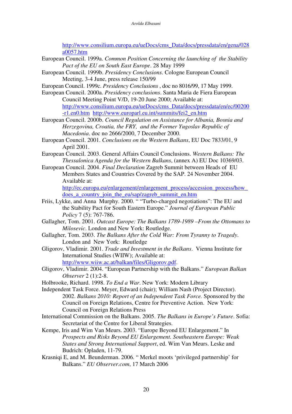http://www.consilium.europa.eu/ueDocs/cms\_Data/docs/pressdata/en/gena/028 a0057.htm

- European Council. 1999a. *Common Position Concerning the launching of the Stability Pact of the EU on South East Europe*. 28 May 1999
- European Council. 1999b. *Presidency Conclusions*. Cologne European Council Meeting, 3-4 June, press release 150/99
- European Council. 1999c. *Presidency Conclusions* , doc no 8016/99, 17 May 1999.
- European Council. 2000a. *Presidency conclusions*. Santa Maria de Fiera European Council Meeting Point V/D, 19-20 June 2000; Available at:

http://www.consilium.europa.eu/ueDocs/cms\_Data/docs/pressdata/en/ec/00200 -r1.en0.htm http://www.europarl.eu.int/summits/fei2\_en.htm

- European Council. 2000b. *Council Regulation on Assistance for Albania, Bosnia and Herzegovina, Croatia, the FRY, and the Former Yugoslav Republic of Macedonia*. doc no 2666/2000, 7 December 2000.
- European Council. 2001. *Conclusions on the Western Balkans*, EU Doc 7833/01, 9 April 2001.
- European Council. 2003. General Affairs Council Conclusions. *Western Balkans: The Thessalonica Agenda for the Western Balkans*, (annex A) EU Doc 10369/03.
- European Council. 2004. *Final Declaration* Zagreb Summit between Heads of EU Members States and Countries Covered by the SAP. 24 November 2004. Available at:

http://ec.europa.eu/enlargement/enlargement\_process/accession\_process/how does\_a\_country\_join\_the\_eu/sap/zagreb\_summit\_en.htm

- Friis, Lykke, and Anna Murphy. 2000. " "Turbo-charged negotiations": The EU and the Stability Pact for South Eastern Europe." *Journal of European Public Policy* 7 (5): 767-786.
- Gallagher, Tom. 2001. *Outcast Europe: The Balkans 1789-1989 –From the Ottomans to Milosevic*. London and New York: Routledge.
- Gallagher, Tom. 2003. *The Balkans After the Cold War: From Tyranny to Tragedy*. London and New York: Routledge
- Gligorov, Vladimir. 2001. *Trade and Investment in the Balkans*. Vienna Institute for International Studies (WIIW); Available at: http://www.wiiw.ac.at/balkan/files/Gligorov.pdf.
- Gligorov, Vladimir. 2004. "European Partnership with the Balkans." *European Balkan Observer* 2 (1):2-8.
- Holbrooke, Richard. 1998. *To End a War*. New York: Modern Library

Independent Task Force. Meyer, Edward (chair); William Nash (Project Director). 2002. *Balkans 2010: Report of an Independent Task Force.* Sponsored by the Council on Foreign Relations, Centre for Preventive Action. New York: Council on Foreign Relations Press

- International Commission on the Balkans. 2005. *The Balkans in Europe's Future*. Sofia: Secretariat of the Centre for Liberal Strategies.
- Kempe, Iris and Wim Van Meurs. 2003. "Europe Beyond EU Enlargement." In *Prospects and Risks Beyond EU Enlargement. Southeastern Europe: Weak States and Strong International Support*, ed. Wim Van Meurs. Leske and Budrich: Opladen, 11-79.
- Krasniqi E, and M. Beunderman. 2006. " Merkel moots 'privileged partnership' for Balkans." *EU Observer.com*, 17 March 2006